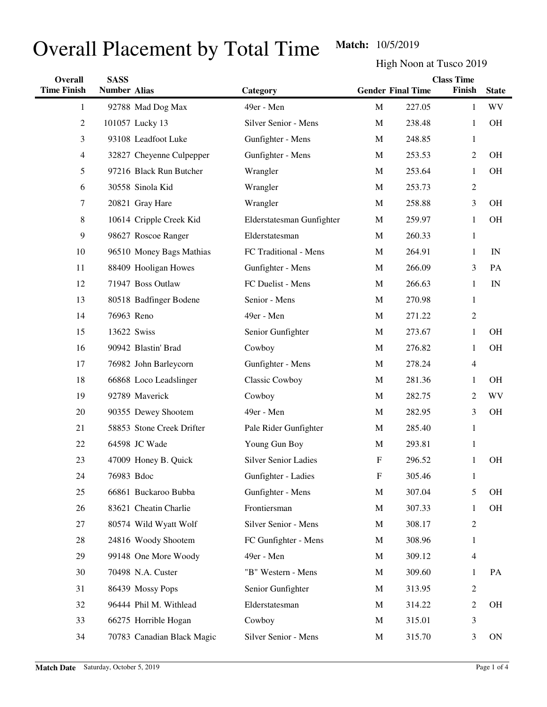## Overall Placement by Total Time **Match:** 10/5/2019

High Noon at Tusco 2019

| Overall            | <b>SASS</b>         |                            |                             | <b>Class Time</b> |                          |                |              |
|--------------------|---------------------|----------------------------|-----------------------------|-------------------|--------------------------|----------------|--------------|
| <b>Time Finish</b> | <b>Number Alias</b> |                            | Category                    |                   | <b>Gender Final Time</b> | Finish         | <b>State</b> |
| 1                  |                     | 92788 Mad Dog Max          | 49er - Men                  | $\mathbf M$       | 227.05                   | $\mathbf{1}$   | <b>WV</b>    |
| 2                  |                     | 101057 Lucky 13            | Silver Senior - Mens        | M                 | 238.48                   | 1              | <b>OH</b>    |
| 3                  |                     | 93108 Leadfoot Luke        | Gunfighter - Mens           | M                 | 248.85                   | $\mathbf{1}$   |              |
| 4                  |                     | 32827 Cheyenne Culpepper   | Gunfighter - Mens           | M                 | 253.53                   | $\overline{2}$ | <b>OH</b>    |
| 5                  |                     | 97216 Black Run Butcher    | Wrangler                    | M                 | 253.64                   | 1              | OH           |
| 6                  |                     | 30558 Sinola Kid           | Wrangler                    | M                 | 253.73                   | $\mathbf{2}$   |              |
| 7                  |                     | 20821 Gray Hare            | Wrangler                    | M                 | 258.88                   | 3              | <b>OH</b>    |
| 8                  |                     | 10614 Cripple Creek Kid    | Elderstatesman Gunfighter   | M                 | 259.97                   | 1              | <b>OH</b>    |
| 9                  |                     | 98627 Roscoe Ranger        | Elderstatesman              | M                 | 260.33                   | $\mathbf{1}$   |              |
| 10                 |                     | 96510 Money Bags Mathias   | FC Traditional - Mens       | M                 | 264.91                   | 1              | IN           |
| 11                 |                     | 88409 Hooligan Howes       | Gunfighter - Mens           | M                 | 266.09                   | 3              | PA           |
| 12                 |                     | 71947 Boss Outlaw          | FC Duelist - Mens           | M                 | 266.63                   | $\mathbf{1}$   | IN           |
| 13                 |                     | 80518 Badfinger Bodene     | Senior - Mens               | M                 | 270.98                   | $\mathbf{1}$   |              |
| 14                 | 76963 Reno          |                            | 49er - Men                  | M                 | 271.22                   | $\mathfrak{2}$ |              |
| 15                 | 13622 Swiss         |                            | Senior Gunfighter           | M                 | 273.67                   | $\mathbf{1}$   | <b>OH</b>    |
| 16                 |                     | 90942 Blastin' Brad        | Cowboy                      | M                 | 276.82                   | $\mathbf{1}$   | <b>OH</b>    |
| 17                 |                     | 76982 John Barleycorn      | Gunfighter - Mens           | M                 | 278.24                   | $\overline{4}$ |              |
| 18                 |                     | 66868 Loco Leadslinger     | Classic Cowboy              | M                 | 281.36                   | $\mathbf{1}$   | <b>OH</b>    |
| 19                 |                     | 92789 Maverick             | Cowboy                      | M                 | 282.75                   | $\overline{c}$ | WV           |
| 20                 |                     | 90355 Dewey Shootem        | 49er - Men                  | M                 | 282.95                   | 3              | <b>OH</b>    |
| 21                 |                     | 58853 Stone Creek Drifter  | Pale Rider Gunfighter       | M                 | 285.40                   | $\mathbf{1}$   |              |
| 22                 |                     | 64598 JC Wade              | Young Gun Boy               | M                 | 293.81                   | $\mathbf{1}$   |              |
| 23                 |                     | 47009 Honey B. Quick       | <b>Silver Senior Ladies</b> | $\mathbf F$       | 296.52                   | $\mathbf{1}$   | <b>OH</b>    |
| 24                 | 76983 Bdoc          |                            | Gunfighter - Ladies         | F                 | 305.46                   | 1              |              |
| 25                 |                     | 66861 Buckaroo Bubba       | Gunfighter - Mens           | M                 | 307.04                   | 5              | OH           |
| 26                 |                     | 83621 Cheatin Charlie      | Frontiersman                | M                 | 307.33                   | $\mathbf{1}$   | OH           |
| 27                 |                     | 80574 Wild Wyatt Wolf      | Silver Senior - Mens        | M                 | 308.17                   | $\overline{2}$ |              |
| 28                 |                     | 24816 Woody Shootem        | FC Gunfighter - Mens        | M                 | 308.96                   | $\mathbf{1}$   |              |
| 29                 |                     | 99148 One More Woody       | 49er - Men                  | M                 | 309.12                   | $\overline{4}$ |              |
| 30                 |                     | 70498 N.A. Custer          | "B" Western - Mens          | M                 | 309.60                   | $\mathbf{1}$   | PA           |
| 31                 |                     | 86439 Mossy Pops           | Senior Gunfighter           | M                 | 313.95                   | $\mathbf{2}$   |              |
| 32                 |                     | 96444 Phil M. Withlead     | Elderstatesman              | M                 | 314.22                   | $\overline{c}$ | OH           |
| 33                 |                     | 66275 Horrible Hogan       | Cowboy                      | M                 | 315.01                   | 3              |              |
| 34                 |                     | 70783 Canadian Black Magic | Silver Senior - Mens        | M                 | 315.70                   | 3              | ON           |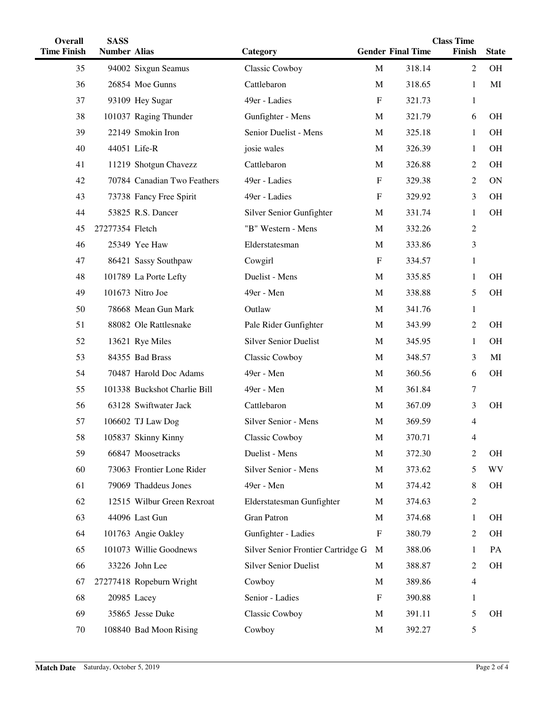| Overall            | <b>SASS</b>         |                              |                                    |              | <b>Class Time</b>        |                          |              |  |
|--------------------|---------------------|------------------------------|------------------------------------|--------------|--------------------------|--------------------------|--------------|--|
| <b>Time Finish</b> | <b>Number Alias</b> |                              | Category                           |              | <b>Gender Final Time</b> | Finish                   | <b>State</b> |  |
| 35                 |                     | 94002 Sixgun Seamus          | Classic Cowboy                     | $\mathbf M$  | 318.14                   | 2                        | <b>OH</b>    |  |
| 36                 |                     | 26854 Moe Gunns              | Cattlebaron                        | $\mathbf M$  | 318.65                   | 1                        | MI           |  |
| 37                 |                     | 93109 Hey Sugar              | 49er - Ladies                      | $\mathbf{F}$ | 321.73                   | 1                        |              |  |
| 38                 |                     | 101037 Raging Thunder        | Gunfighter - Mens                  | M            | 321.79                   | 6                        | <b>OH</b>    |  |
| 39                 |                     | 22149 Smokin Iron            | Senior Duelist - Mens              | M            | 325.18                   | 1                        | <b>OH</b>    |  |
| 40                 |                     | 44051 Life-R                 | josie wales                        | M            | 326.39                   | 1                        | <b>OH</b>    |  |
| 41                 |                     | 11219 Shotgun Chavezz        | Cattlebaron                        | M            | 326.88                   | 2                        | <b>OH</b>    |  |
| 42                 |                     | 70784 Canadian Two Feathers  | 49er - Ladies                      | $\mathbf F$  | 329.38                   | 2                        | <b>ON</b>    |  |
| 43                 |                     | 73738 Fancy Free Spirit      | 49er - Ladies                      | F            | 329.92                   | 3                        | OH           |  |
| 44                 |                     | 53825 R.S. Dancer            | Silver Senior Gunfighter           | M            | 331.74                   | 1                        | OH           |  |
| 45                 | 27277354 Fletch     |                              | "B" Western - Mens                 | M            | 332.26                   | $\overline{c}$           |              |  |
| 46                 |                     | 25349 Yee Haw                | Elderstatesman                     | M            | 333.86                   | 3                        |              |  |
| 47                 |                     | 86421 Sassy Southpaw         | Cowgirl                            | $\mathbf{F}$ | 334.57                   | $\mathbf{1}$             |              |  |
| 48                 |                     | 101789 La Porte Lefty        | Duelist - Mens                     | M            | 335.85                   | 1                        | OH           |  |
| 49                 |                     | 101673 Nitro Joe             | 49er - Men                         | M            | 338.88                   | 5                        | OH           |  |
| 50                 |                     | 78668 Mean Gun Mark          | Outlaw                             | M            | 341.76                   | 1                        |              |  |
| 51                 |                     | 88082 Ole Rattlesnake        | Pale Rider Gunfighter              | M            | 343.99                   | 2                        | OH           |  |
| 52                 |                     | 13621 Rye Miles              | <b>Silver Senior Duelist</b>       | M            | 345.95                   | 1                        | <b>OH</b>    |  |
| 53                 |                     | 84355 Bad Brass              | <b>Classic Cowboy</b>              | M            | 348.57                   | 3                        | MI           |  |
| 54                 |                     | 70487 Harold Doc Adams       | 49er - Men                         | M            | 360.56                   | 6                        | <b>OH</b>    |  |
| 55                 |                     | 101338 Buckshot Charlie Bill | 49er - Men                         | M            | 361.84                   | 7                        |              |  |
| 56                 |                     | 63128 Swiftwater Jack        | Cattlebaron                        | M            | 367.09                   | 3                        | OH           |  |
| 57                 |                     | 106602 TJ Law Dog            | Silver Senior - Mens               | M            | 369.59                   | 4                        |              |  |
| 58                 |                     | 105837 Skinny Kinny          | Classic Cowboy                     | M            | 370.71                   | 4                        |              |  |
| 59                 |                     | 66847 Moosetracks            | Duelist - Mens                     | M            | 372.30                   | 2                        | OH           |  |
| 60                 |                     | 73063 Frontier Lone Rider    | Silver Senior - Mens               | M            | 373.62                   | 5                        | <b>WV</b>    |  |
| 61                 |                     | 79069 Thaddeus Jones         | 49er - Men                         | M            | 374.42                   | 8                        | OН           |  |
| 62                 |                     | 12515 Wilbur Green Rexroat   | Elderstatesman Gunfighter          | M            | 374.63                   | 2                        |              |  |
| 63                 |                     | 44096 Last Gun               | <b>Gran Patron</b>                 | M            | 374.68                   | 1                        | OН           |  |
| 64                 |                     | 101763 Angie Oakley          | Gunfighter - Ladies                | $\mathbf F$  | 380.79                   | 2                        | OH           |  |
| 65                 |                     | 101073 Willie Goodnews       | Silver Senior Frontier Cartridge G | M            | 388.06                   | 1                        | PA           |  |
| 66                 |                     | 33226 John Lee               | <b>Silver Senior Duelist</b>       | M            | 388.87                   | 2                        | <b>OH</b>    |  |
| 67                 |                     | 27277418 Ropeburn Wright     | Cowboy                             | M            | 389.86                   | $\overline{\mathcal{A}}$ |              |  |
| 68                 |                     | 20985 Lacey                  | Senior - Ladies                    | $\mathbf{F}$ | 390.88                   | 1                        |              |  |
| 69                 |                     | 35865 Jesse Duke             | <b>Classic Cowboy</b>              | M            | 391.11                   | 5                        | OН           |  |
| 70                 |                     | 108840 Bad Moon Rising       | Cowboy                             | M            | 392.27                   | 5                        |              |  |
|                    |                     |                              |                                    |              |                          |                          |              |  |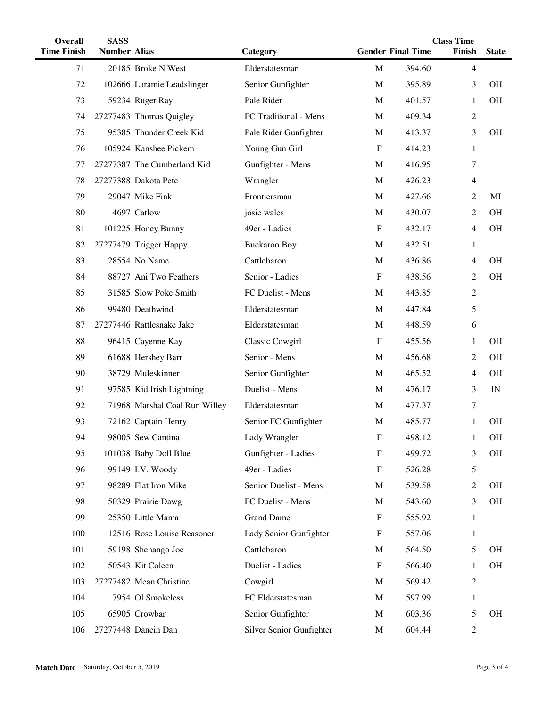| <b>Overall</b>     | <b>SASS</b>         |                               |                          | <b>Class Time</b>         |                          |                |              |
|--------------------|---------------------|-------------------------------|--------------------------|---------------------------|--------------------------|----------------|--------------|
| <b>Time Finish</b> | <b>Number Alias</b> |                               | Category                 |                           | <b>Gender Final Time</b> | Finish         | <b>State</b> |
| 71                 |                     | 20185 Broke N West            | Elderstatesman           | M                         | 394.60                   | $\overline{4}$ |              |
| 72                 |                     | 102666 Laramie Leadslinger    | Senior Gunfighter        | M                         | 395.89                   | 3              | <b>OH</b>    |
| 73                 |                     | 59234 Ruger Ray               | Pale Rider               | M                         | 401.57                   | 1              | <b>OH</b>    |
| 74                 |                     | 27277483 Thomas Quigley       | FC Traditional - Mens    | M                         | 409.34                   | $\overline{2}$ |              |
| 75                 |                     | 95385 Thunder Creek Kid       | Pale Rider Gunfighter    | M                         | 413.37                   | 3              | <b>OH</b>    |
| 76                 |                     | 105924 Kanshee Pickem         | Young Gun Girl           | $\mathbf F$               | 414.23                   | $\mathbf{1}$   |              |
| 77                 |                     | 27277387 The Cumberland Kid   | Gunfighter - Mens        | M                         | 416.95                   | 7              |              |
| 78                 |                     | 27277388 Dakota Pete          | Wrangler                 | M                         | 426.23                   | $\overline{4}$ |              |
| 79                 |                     | 29047 Mike Fink               | Frontiersman             | M                         | 427.66                   | $\overline{c}$ | MI           |
| 80                 |                     | 4697 Catlow                   | josie wales              | M                         | 430.07                   | $\overline{c}$ | <b>OH</b>    |
| 81                 |                     | 101225 Honey Bunny            | 49er - Ladies            | $\boldsymbol{\mathrm{F}}$ | 432.17                   | $\overline{4}$ | <b>OH</b>    |
| 82                 |                     | 27277479 Trigger Happy        | <b>Buckaroo Boy</b>      | M                         | 432.51                   | $\mathbf{1}$   |              |
| 83                 |                     | 28554 No Name                 | Cattlebaron              | M                         | 436.86                   | $\overline{4}$ | <b>OH</b>    |
| 84                 |                     | 88727 Ani Two Feathers        | Senior - Ladies          | $\boldsymbol{\mathrm{F}}$ | 438.56                   | $\overline{c}$ | <b>OH</b>    |
| 85                 |                     | 31585 Slow Poke Smith         | FC Duelist - Mens        | M                         | 443.85                   | $\overline{c}$ |              |
| 86                 |                     | 99480 Deathwind               | Elderstatesman           | M                         | 447.84                   | 5              |              |
| 87                 |                     | 27277446 Rattlesnake Jake     | Elderstatesman           | M                         | 448.59                   | 6              |              |
| 88                 |                     | 96415 Cayenne Kay             | <b>Classic Cowgirl</b>   | $\boldsymbol{\mathrm{F}}$ | 455.56                   | $\mathbf{1}$   | <b>OH</b>    |
| 89                 |                     | 61688 Hershey Barr            | Senior - Mens            | M                         | 456.68                   | $\overline{c}$ | <b>OH</b>    |
| 90                 |                     | 38729 Muleskinner             | Senior Gunfighter        | M                         | 465.52                   | 4              | <b>OH</b>    |
| 91                 |                     | 97585 Kid Irish Lightning     | Duelist - Mens           | M                         | 476.17                   | 3              | IN           |
| 92                 |                     | 71968 Marshal Coal Run Willey | Elderstatesman           | M                         | 477.37                   | 7              |              |
| 93                 |                     | 72162 Captain Henry           | Senior FC Gunfighter     | M                         | 485.77                   | 1              | <b>OH</b>    |
| 94                 |                     | 98005 Sew Cantina             | Lady Wrangler            | $\mathbf F$               | 498.12                   |                | <b>OH</b>    |
| 95                 |                     | 101038 Baby Doll Blue         | Gunfighter - Ladies      | $\mathbf F$               | 499.72                   | 3              | OН           |
| 96                 |                     | 99149 I.V. Woody              | 49er - Ladies            | $\mathbf F$               | 526.28                   | 5              |              |
| 97                 |                     | 98289 Flat Iron Mike          | Senior Duelist - Mens    | M                         | 539.58                   | $\overline{c}$ | <b>OH</b>    |
| 98                 |                     | 50329 Prairie Dawg            | FC Duelist - Mens        | M                         | 543.60                   | 3              | OН           |
| 99                 |                     | 25350 Little Mama             | <b>Grand Dame</b>        | $\boldsymbol{\mathrm{F}}$ | 555.92                   | $\mathbf{1}$   |              |
| 100                |                     | 12516 Rose Louise Reasoner    | Lady Senior Gunfighter   | F                         | 557.06                   | $\mathbf{1}$   |              |
| 101                |                     | 59198 Shenango Joe            | Cattlebaron              | M                         | 564.50                   | 5              | <b>OH</b>    |
| 102                |                     | 50543 Kit Coleen              | Duelist - Ladies         | $\boldsymbol{\mathrm{F}}$ | 566.40                   | 1              | OН           |
| 103                |                     | 27277482 Mean Christine       | Cowgirl                  | M                         | 569.42                   | $\mathbf{2}$   |              |
| 104                |                     | 7954 Ol Smokeless             | FC Elderstatesman        | M                         | 597.99                   | 1              |              |
| 105                |                     | 65905 Crowbar                 | Senior Gunfighter        | M                         | 603.36                   | 5              | <b>OH</b>    |
| 106                |                     | 27277448 Dancin Dan           | Silver Senior Gunfighter | M                         | 604.44                   | $\overline{2}$ |              |